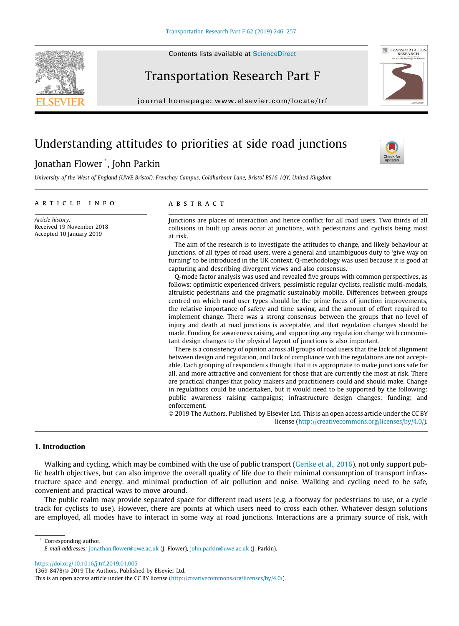<span id="page-0-0"></span>



journal homepage: [www.elsevier.com/locate/trf](http://www.elsevier.com/locate/trf)

# Understanding attitudes to priorities at side road junctions



TRANSPORTATION

University of the West of England (UWE Bristol), Frenchay Campus, Coldharbour Lane, Bristol BS16 1QY, United Kingdom

# article info

Jonathan Flower \* , John Parkin

Article history: Received 19 November 2018 Accepted 10 January 2019

# **ABSTRACT**

Junctions are places of interaction and hence conflict for all road users. Two thirds of all collisions in built up areas occur at junctions, with pedestrians and cyclists being most at risk.

The aim of the research is to investigate the attitudes to change, and likely behaviour at junctions, of all types of road users, were a general and unambiguous duty to 'give way on turning' to be introduced in the UK context. Q-methodology was used because it is good at capturing and describing divergent views and also consensus.

Q-mode factor analysis was used and revealed five groups with common perspectives, as follows: optimistic experienced drivers, pessimistic regular cyclists, realistic multi-modals, altruistic pedestrians and the pragmatic sustainably mobile. Differences between groups centred on which road user types should be the prime focus of junction improvements, the relative importance of safety and time saving, and the amount of effort required to implement change. There was a strong consensus between the groups that no level of injury and death at road junctions is acceptable, and that regulation changes should be made. Funding for awareness raising, and supporting any regulation change with concomitant design changes to the physical layout of junctions is also important.

There is a consistency of opinion across all groups of road users that the lack of alignment between design and regulation, and lack of compliance with the regulations are not acceptable. Each grouping of respondents thought that it is appropriate to make junctions safe for all, and more attractive and convenient for those that are currently the most at risk. There are practical changes that policy makers and practitioners could and should make. Change in regulations could be undertaken, but it would need to be supported by the following: public awareness raising campaigns; infrastructure design changes; funding; and enforcement.

 2019 The Authors. Published by Elsevier Ltd. This is an open access article under the CC BY license [\(http://creativecommons.org/licenses/by/4.0/](http://creativecommons.org/licenses/by/4.0/)).

# 1. Introduction

Walking and cycling, which may be combined with the use of public transport ([Gerike et al., 2016](#page-11-0)), not only support public health objectives, but can also improve the overall quality of life due to their minimal consumption of transport infrastructure space and energy, and minimal production of air pollution and noise. Walking and cycling need to be safe, convenient and practical ways to move around.

The public realm may provide separated space for different road users (e.g. a footway for pedestrians to use, or a cycle track for cyclists to use). However, there are points at which users need to cross each other. Whatever design solutions are employed, all modes have to interact in some way at road junctions. Interactions are a primary source of risk, with

Corresponding author. E-mail addresses: [jonathan.flower@uwe.ac.uk](mailto:jonathan.flower@uwe.ac.uk) (J. Flower), [john.parkin@uwe.ac.uk](mailto:john.parkin@uwe.ac.uk) (J. Parkin).

<https://doi.org/10.1016/j.trf.2019.01.005>

1369-8478/© 2019 The Authors. Published by Elsevier Ltd.

This is an open access article under the CC BY license [\(http://creativecommons.org/licenses/by/4.0/](http://creativecommons.org/licenses/by/4.0/)).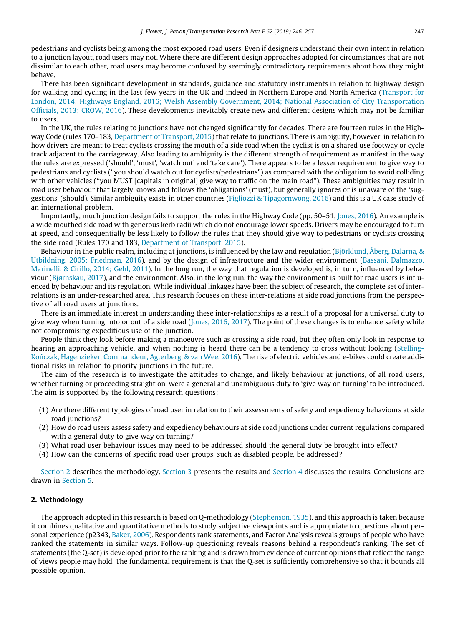pedestrians and cyclists being among the most exposed road users. Even if designers understand their own intent in relation to a junction layout, road users may not. Where there are different design approaches adopted for circumstances that are not dissimilar to each other, road users may become confused by seemingly contradictory requirements about how they might behave.

There has been significant development in standards, guidance and statutory instruments in relation to highway design for walking and cycling in the last few years in the UK and indeed in Northern Europe and North America ([Transport for](#page-11-0) [London, 2014;](#page-11-0) [Highways England, 2016; Welsh Assembly Government, 2014; National Association of City Transportation](#page-11-0) [Officials, 2013; CROW, 2016\)](#page-11-0). These developments inevitably create new and different designs which may not be familiar to users.

In the UK, the rules relating to junctions have not changed significantly for decades. There are fourteen rules in the Highway Code (rules 170–183, [Department of Transport, 2015](#page-11-0)) that relate to junctions. There is ambiguity, however, in relation to how drivers are meant to treat cyclists crossing the mouth of a side road when the cyclist is on a shared use footway or cycle track adjacent to the carriageway. Also leading to ambiguity is the different strength of requirement as manifest in the way the rules are expressed ('should', 'must', 'watch out' and 'take care'). There appears to be a lesser requirement to give way to pedestrians and cyclists (''you should watch out for cyclists/pedestrians") as compared with the obligation to avoid colliding with other vehicles ("you MUST [capitals in original] give way to traffic on the main road"). These ambiguities may result in road user behaviour that largely knows and follows the 'obligations' (must), but generally ignores or is unaware of the 'suggestions' (should). Similar ambiguity exists in other countries ([Figliozzi & Tipagornwong, 2016\)](#page-11-0) and this is a UK case study of an international problem.

Importantly, much junction design fails to support the rules in the Highway Code (pp. 50–51, [Jones, 2016](#page-11-0)). An example is a wide mouthed side road with generous kerb radii which do not encourage lower speeds. Drivers may be encouraged to turn at speed, and consequentially be less likely to follow the rules that they should give way to pedestrians or cyclists crossing the side road (Rules 170 and 183, [Department of Transport, 2015\)](#page-11-0).

Behaviour in the public realm, including at junctions, is influenced by the law and regulation ([Björklund, Åberg, Dalarna, &](#page-11-0) [Utbildning, 2005; Friedman, 2016\)](#page-11-0), and by the design of infrastructure and the wider environment ([Bassani, Dalmazzo,](#page-11-0) [Marinelli, & Cirillo, 2014; Gehl, 2011\)](#page-11-0). In the long run, the way that regulation is developed is, in turn, influenced by behaviour ([Bj](#page-11-0)ø[rnskau, 2017\)](#page-11-0), and the environment. Also, in the long run, the way the environment is built for road users is influenced by behaviour and its regulation. While individual linkages have been the subject of research, the complete set of interrelations is an under-researched area. This research focuses on these inter-relations at side road junctions from the perspective of all road users at junctions.

There is an immediate interest in understanding these inter-relationships as a result of a proposal for a universal duty to give way when turning into or out of a side road ([Jones, 2016, 2017](#page-11-0)). The point of these changes is to enhance safety while not compromising expeditious use of the junction.

People think they look before making a manoeuvre such as crossing a side road, but they often only look in response to hearing an approaching vehicle, and when nothing is heard there can be a tendency to cross without looking [\(Stelling](#page-11-0)Kon[czak, Hagenzieker, Commandeur, Agterberg, & van Wee, 2016\)](#page-11-0). The rise of electric vehicles and e-bikes could create additional risks in relation to priority junctions in the future.

The aim of the research is to investigate the attitudes to change, and likely behaviour at junctions, of all road users, whether turning or proceeding straight on, were a general and unambiguous duty to 'give way on turning' to be introduced. The aim is supported by the following research questions:

- (1) Are there different typologies of road user in relation to their assessments of safety and expediency behaviours at side road junctions?
- (2) How do road users assess safety and expediency behaviours at side road junctions under current regulations compared with a general duty to give way on turning?
- (3) What road user behaviour issues may need to be addressed should the general duty be brought into effect?
- (4) How can the concerns of specific road user groups, such as disabled people, be addressed?

Section 2 describes the methodology. [Section 3](#page-2-0) presents the results and [Section 4](#page-7-0) discusses the results. Conclusions are drawn in [Section 5.](#page-8-0)

# 2. Methodology

The approach adopted in this research is based on Q-methodology [\(Stephenson, 1935\)](#page-11-0), and this approach is taken because it combines qualitative and quantitative methods to study subjective viewpoints and is appropriate to questions about personal experience (p2343, [Baker, 2006\)](#page-11-0). Respondents rank statements, and Factor Analysis reveals groups of people who have ranked the statements in similar ways. Follow-up questioning reveals reasons behind a respondent's ranking. The set of statements (the Q-set) is developed prior to the ranking and is drawn from evidence of current opinions that reflect the range of views people may hold. The fundamental requirement is that the Q-set is sufficiently comprehensive so that it bounds all possible opinion.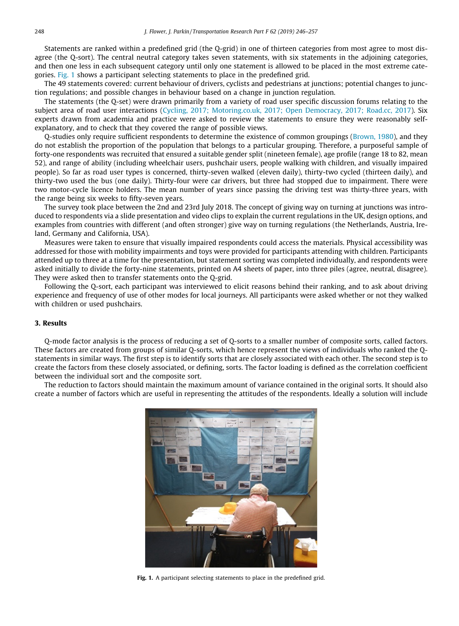<span id="page-2-0"></span>Statements are ranked within a predefined grid (the Q-grid) in one of thirteen categories from most agree to most disagree (the Q-sort). The central neutral category takes seven statements, with six statements in the adjoining categories, and then one less in each subsequent category until only one statement is allowed to be placed in the most extreme categories. Fig. 1 shows a participant selecting statements to place in the predefined grid.

The 49 statements covered: current behaviour of drivers, cyclists and pedestrians at junctions; potential changes to junction regulations; and possible changes in behaviour based on a change in junction regulation.

The statements (the Q-set) were drawn primarily from a variety of road user specific discussion forums relating to the subject area of road user interactions [\(Cycling, 2017; Motoring.co.uk, 2017; Open Democracy, 2017; Road.cc, 2017\)](#page-11-0). Six experts drawn from academia and practice were asked to review the statements to ensure they were reasonably selfexplanatory, and to check that they covered the range of possible views.

Q-studies only require sufficient respondents to determine the existence of common groupings ([Brown, 1980\)](#page-11-0), and they do not establish the proportion of the population that belongs to a particular grouping. Therefore, a purposeful sample of forty-one respondents was recruited that ensured a suitable gender split (nineteen female), age profile (range 18 to 82, mean 52), and range of ability (including wheelchair users, pushchair users, people walking with children, and visually impaired people). So far as road user types is concerned, thirty-seven walked (eleven daily), thirty-two cycled (thirteen daily), and thirty-two used the bus (one daily). Thirty-four were car drivers, but three had stopped due to impairment. There were two motor-cycle licence holders. The mean number of years since passing the driving test was thirty-three years, with the range being six weeks to fifty-seven years.

The survey took place between the 2nd and 23rd July 2018. The concept of giving way on turning at junctions was introduced to respondents via a slide presentation and video clips to explain the current regulations in the UK, design options, and examples from countries with different (and often stronger) give way on turning regulations (the Netherlands, Austria, Ireland, Germany and California, USA).

Measures were taken to ensure that visually impaired respondents could access the materials. Physical accessibility was addressed for those with mobility impairments and toys were provided for participants attending with children. Participants attended up to three at a time for the presentation, but statement sorting was completed individually, and respondents were asked initially to divide the forty-nine statements, printed on A4 sheets of paper, into three piles (agree, neutral, disagree). They were asked then to transfer statements onto the Q-grid.

Following the Q-sort, each participant was interviewed to elicit reasons behind their ranking, and to ask about driving experience and frequency of use of other modes for local journeys. All participants were asked whether or not they walked with children or used pushchairs.

#### 3. Results

Q-mode factor analysis is the process of reducing a set of Q-sorts to a smaller number of composite sorts, called factors. These factors are created from groups of similar Q-sorts, which hence represent the views of individuals who ranked the Qstatements in similar ways. The first step is to identify sorts that are closely associated with each other. The second step is to create the factors from these closely associated, or defining, sorts. The factor loading is defined as the correlation coefficient between the individual sort and the composite sort.

The reduction to factors should maintain the maximum amount of variance contained in the original sorts. It should also create a number of factors which are useful in representing the attitudes of the respondents. Ideally a solution will include



Fig. 1. A participant selecting statements to place in the predefined grid.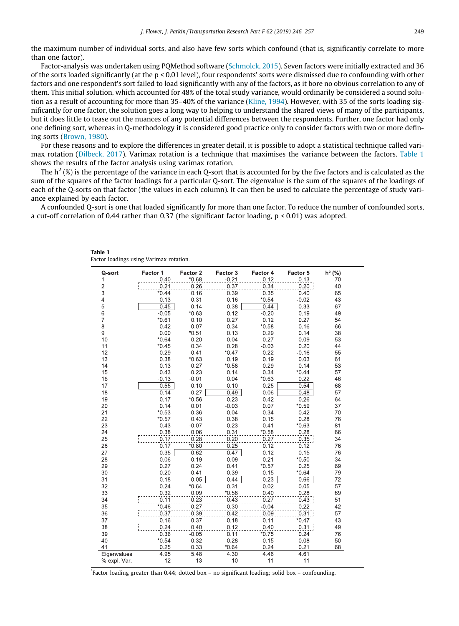the maximum number of individual sorts, and also have few sorts which confound (that is, significantly correlate to more than one factor).

Factor-analysis was undertaken using PQMethod software [\(Schmolck, 2015](#page-11-0)). Seven factors were initially extracted and 36 of the sorts loaded significantly (at the p < 0.01 level), four respondents' sorts were dismissed due to confounding with other factors and one respondent's sort failed to load significantly with any of the factors, as it bore no obvious correlation to any of them. This initial solution, which accounted for 48% of the total study variance, would ordinarily be considered a sound solu-tion as a result of accounting for more than 35–40% of the variance ([Kline, 1994](#page-11-0)). However, with 35 of the sorts loading significantly for one factor, the solution goes a long way to helping to understand the shared views of many of the participants, but it does little to tease out the nuances of any potential differences between the respondents. Further, one factor had only one defining sort, whereas in Q-methodology it is considered good practice only to consider factors with two or more defining sorts [\(Brown, 1980\)](#page-11-0).

For these reasons and to explore the differences in greater detail, it is possible to adopt a statistical technique called varimax rotation [\(Dilbeck, 2017](#page-11-0)). Varimax rotation is a technique that maximises the variance between the factors. Table 1 shows the results of the factor analysis using varimax rotation.

The  $h^2$  (%) is the percentage of the variance in each Q-sort that is accounted for by the five factors and is calculated as the sum of the squares of the factor loadings for a particular Q-sort. The eigenvalue is the sum of the squares of the loadings of each of the Q-sorts on that factor (the values in each column). It can then be used to calculate the percentage of study variance explained by each factor.

A confounded Q-sort is one that loaded significantly for more than one factor. To reduce the number of confounded sorts, a cut-off correlation of 0.44 rather than 0.37 (the significant factor loading,  $p < 0.01$ ) was adopted.

| Q-sort         | Factor 1 | Factor 2 | Factor 3 | Factor 4 | Factor 5 | $h^2$ (%) |
|----------------|----------|----------|----------|----------|----------|-----------|
| 1              | 0.40     | $*0.68$  | $-0.21$  | 0.12     | 0.13     | 70        |
| $\overline{c}$ | 0.21     | 0.26     | 0.37     | 0.34     | 0.20     | 40        |
| 3              | $*0.44$  | 0.16     | 0.39     | 0.35     | 0.40     | 65        |
| 4              | 0.13     | 0.31     | 0.16     | $*0.54$  | $-0.02$  | 43        |
| 5              | 0.45     | 0.14     | 0.38     | 0.44     | 0.33     | 67        |
| 6              | $-0.05$  | $*0.63$  | 0.12     | $-0.20$  | 0.19     | 49        |
| $\overline{7}$ | $*0.61$  | 0.10     | 0.27     | 0.12     | 0.27     | 54        |
| 8              | 0.42     | 0.07     | 0.34     | $*0.58$  | 0.16     | 66        |
| 9              | 0.00     | $*0.51$  | 0.13     | 0.29     | 0.14     | 38        |
| 10             | $*0.64$  | 0.20     | 0.04     | 0.27     | 0.09     | 53        |
| 11             | $*0.45$  | 0.34     | 0.28     | $-0.03$  | 0.20     | 44        |
| 12             | 0.29     | 0.41     | $*0.47$  | 0.22     | $-0.16$  | 55        |
| 13             | 0.38     | $*0.63$  | 0.19     | 0.19     | 0.03     | 61        |
| 14             | 0.13     | 0.27     | $*0.58$  | 0.29     | 0.14     | 53        |
| 15             | 0.43     | 0.23     | 0.14     | 0.34     | $*0.44$  | 57        |
| 16             | $-0.13$  | $-0.01$  | 0.04     | $*0.63$  | 0.22     | 46        |
| 17             | 0.55     | 0.10     | 0.10     | 0.25     | 0.54     | 68        |
| 18             | 0.14     | 0.27     | 0.49     | 0.06     | 0.48     | 57        |
| 19             | 0.17     | $*0.56$  | 0.23     | 0.42     | 0.26     | 64        |
| 20             | 0.14     | 0.01     | $-0.03$  | 0.07     | $*0.59$  | 37        |
| 21             | $*0.53$  | 0.36     | 0.04     | 0.34     | 0.42     | 70        |
| 22             | $*0.57$  | 0.43     | 0.38     | 0.15     | 0.28     | 76        |
| 23             | 0.43     | $-0.07$  | 0.23     | 0.41     | $*0.63$  | 81        |
| 24             | 0.38     | 0.06     | 0.31     | $*0.58$  | 0.28     | 66        |
| 25             | 0.17     | 0.28     | 0.20     | 0.27     | 0.35     | 34        |
| 26             | 0.17     | $*0.80$  | 0.25     | 0.12     | 0.12     | 76        |
| 27             | 0.35     | 0.62     | 0.47     | 0.12     | 0.15     | 76        |
| 28             | 0.06     | 0.19     | 0.09     | 0.21     | $*0.50$  | 34        |
| 29             | 0.27     | 0.24     | 0.41     | $*0.57$  | 0.25     | 69        |
| 30             | 0.20     | 0.41     | 0.39     | 0.15     | $*0.64$  | 79        |
| 31             | 0.18     | 0.05     | 0.44     | 0.23     | 0.66     | 72        |
| 32             | 0.24     | $*0.64$  | 0.31     | 0.02     | 0.05     | 57        |
| 33             | 0.32     | 0.09     | $*0.58$  | 0.40     | 0.28     | 69        |
| 34             | 0.11     | 0.23     | 0.43     | 0.27     | 0.43     | 51        |
| 35             | $*0.46$  | 0.27     | 0.30     | $-0.04$  | 0.22     | 42        |
| 36             | 0.37     | 0.39     | 0.42     | 0.09     | 0.31     | 57        |
| 37             | 0.16     | 0.37     | 0.18     | 0.11     | $*0.47$  | 43        |
| 38             | 0.24     | 0.40     | 0.12     | 0.40     | 0.31     | 49        |
| 39             | 0.36     | $-0.05$  | 0.11     | $*0.75$  | 0.24     | 76        |
| 40             | $*0.54$  | 0.32     | 0.28     | 0.15     | 0.08     | 50        |
| 41             | 0.25     | 0.33     | $*0.64$  | 0.24     | 0.21     | 68        |
| Eigenvalues    | 4.95     | 5.48     | 4.30     | 4.46     | 4.61     |           |
| % exnl Var     | 12       | 13       | 10       | 11       | 11       |           |

Table 1 Factor loadings using Varimax rotation.

\* Factor loading greater than 0.44; dotted box – no significant loading; solid box – confounding.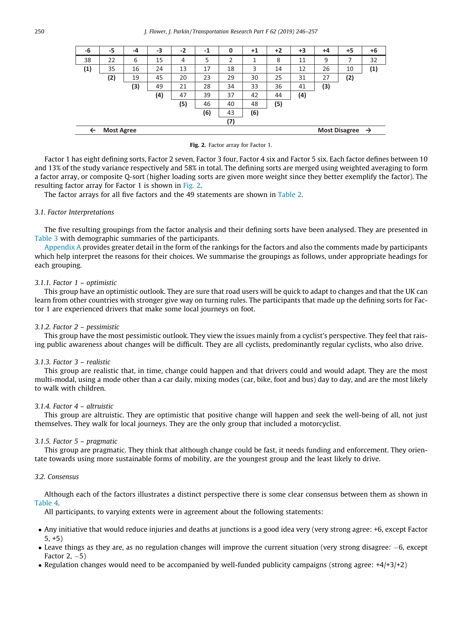| -6                                                               | -5  | -4  | -3  | $-2$ | $-1$ | 0   | $+1$ | $+2$ | $+3$ | +4  | +5  | $+6$ |
|------------------------------------------------------------------|-----|-----|-----|------|------|-----|------|------|------|-----|-----|------|
| 38                                                               | 22  | 6   | 15  | 4    | 5    | 2   | 1    | 8    | 11   | 9   | 7   | 32   |
| (1)                                                              | 35  | 16  | 24  | 13   | 17   | 18  | 3    | 14   | 12   | 26  | 10  | (1)  |
|                                                                  | (2) | 19  | 45  | 20   | 23   | 29  | 30   | 25   | 31   | 27  | (2) |      |
|                                                                  |     | (3) | 49  | 21   | 28   | 34  | 33   | 36   | 41   | (3) |     |      |
|                                                                  |     |     | (4) | 47   | 39   | 37  | 42   | 44   | (4)  |     |     |      |
|                                                                  |     |     |     | (5)  | 46   | 40  | 48   | (5)  |      |     |     |      |
|                                                                  |     |     |     |      | (6)  | 43  | (6)  |      |      |     |     |      |
|                                                                  |     |     |     |      |      | (7) |      |      |      |     |     |      |
| Most Disagree $\rightarrow$<br><b>Most Agree</b><br>$\leftarrow$ |     |     |     |      |      |     |      |      |      |     |     |      |
|                                                                  |     |     |     |      |      |     |      |      |      |     |     |      |

Fig. 2. Factor array for Factor 1.

Factor 1 has eight defining sorts, Factor 2 seven, Factor 3 four, Factor 4 six and Factor 5 six. Each factor defines between 10 and 13% of the study variance respectively and 58% in total. The defining sorts are merged using weighted averaging to form a factor array, or composite Q-sort (higher loading sorts are given more weight since they better exemplify the factor). The resulting factor array for Factor 1 is shown in Fig. 2.

The factor arrays for all five factors and the 49 statements are shown in [Table 2.](#page-5-0)

#### 3.1. Factor Interpretations

The five resulting groupings from the factor analysis and their defining sorts have been analysed. They are presented in [Table 3](#page-6-0) with demographic summaries of the participants.

[Appendix A](#page-0-0) provides greater detail in the form of the rankings for the factors and also the comments made by participants which help interpret the reasons for their choices. We summarise the groupings as follows, under appropriate headings for each grouping.

# 3.1.1. Factor 1 – optimistic

This group have an optimistic outlook. They are sure that road users will be quick to adapt to changes and that the UK can learn from other countries with stronger give way on turning rules. The participants that made up the defining sorts for Factor 1 are experienced drivers that make some local journeys on foot.

#### 3.1.2. Factor 2 – pessimistic

This group have the most pessimistic outlook. They view the issues mainly from a cyclist's perspective. They feel that raising public awareness about changes will be difficult. They are all cyclists, predominantly regular cyclists, who also drive.

#### 3.1.3. Factor 3 – realistic

This group are realistic that, in time, change could happen and that drivers could and would adapt. They are the most multi-modal, using a mode other than a car daily, mixing modes (car, bike, foot and bus) day to day, and are the most likely to walk with children.

#### 3.1.4. Factor 4 – altruistic

This group are altruistic. They are optimistic that positive change will happen and seek the well-being of all, not just themselves. They walk for local journeys. They are the only group that included a motorcyclist.

# 3.1.5. Factor 5 – pragmatic

This group are pragmatic. They think that although change could be fast, it needs funding and enforcement. They orientate towards using more sustainable forms of mobility, are the youngest group and the least likely to drive.

# 3.2. Consensus

Although each of the factors illustrates a distinct perspective there is some clear consensus between them as shown in [Table 4.](#page-6-0)

All participants, to varying extents were in agreement about the following statements:

- Any initiative that would reduce injuries and deaths at junctions is a good idea very (very strong agree: +6, except Factor 5, +5)
- Leave things as they are, as no regulation changes will improve the current situation (very strong disagree: -6, except Factor 2,  $-5$ )
- Regulation changes would need to be accompanied by well-funded publicity campaigns (strong agree:  $+4/+3/+2$ )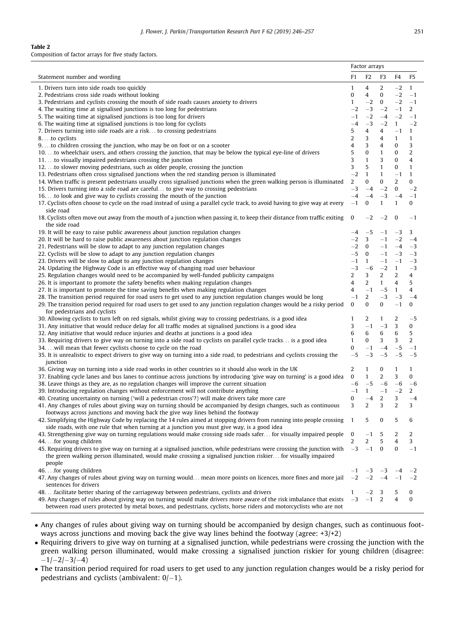# <span id="page-5-0"></span>Table 2

 $\overline{\phantom{a}}$ 

Composition of factor arrays for five study factors.

|                                                                                                                                                                                                                                                                                                                                                                                                                                                                                                                                                                                                                                                                                                                                                                                                                                                                                                                                                                                                                                                                                                                                                                                                                                                                                                                                                                                                     |                                                                                                                                              | Factor arrays                                                                                                                      |                                                                                                                                                     |                                                                                                                                                       |                                                                                                                                                          |
|-----------------------------------------------------------------------------------------------------------------------------------------------------------------------------------------------------------------------------------------------------------------------------------------------------------------------------------------------------------------------------------------------------------------------------------------------------------------------------------------------------------------------------------------------------------------------------------------------------------------------------------------------------------------------------------------------------------------------------------------------------------------------------------------------------------------------------------------------------------------------------------------------------------------------------------------------------------------------------------------------------------------------------------------------------------------------------------------------------------------------------------------------------------------------------------------------------------------------------------------------------------------------------------------------------------------------------------------------------------------------------------------------------|----------------------------------------------------------------------------------------------------------------------------------------------|------------------------------------------------------------------------------------------------------------------------------------|-----------------------------------------------------------------------------------------------------------------------------------------------------|-------------------------------------------------------------------------------------------------------------------------------------------------------|----------------------------------------------------------------------------------------------------------------------------------------------------------|
| Statement number and wording                                                                                                                                                                                                                                                                                                                                                                                                                                                                                                                                                                                                                                                                                                                                                                                                                                                                                                                                                                                                                                                                                                                                                                                                                                                                                                                                                                        | F <sub>1</sub>                                                                                                                               | F2                                                                                                                                 | F3                                                                                                                                                  | F4                                                                                                                                                    | F5                                                                                                                                                       |
| 1. Drivers turn into side roads too quickly<br>2. Pedestrians cross side roads without looking<br>3. Pedestrians and cyclists crossing the mouth of side roads causes anxiety to drivers<br>4. The waiting time at signalised junctions is too long for pedestrians<br>5. The waiting time at signalised junctions is too long for drivers<br>6. The waiting time at signalised junctions is too long for cyclists<br>7. Drivers turning into side roads are a risk to crossing pedestrians<br>8. to cyclists<br>9. to children crossing the junction, who may be on foot or on a scooter<br>10. to wheelchair users, and others crossing the junction, that may be below the typical eye-line of drivers<br>11. to visually impaired pedestrians crossing the junction<br>12. to slower moving pedestrians, such as older people, crossing the junction<br>13. Pedestrians often cross signalised junctions when the red standing person is illuminated<br>14. When traffic is present pedestrians usually cross signalised junctions when the green walking person is illuminated<br>15. Drivers turning into a side road are careful to give way to crossing pedestrians<br>16. to look and give way to cyclists crossing the mouth of the junction<br>17. Cyclists often choose to cycle on the road instead of using a parallel cycle track, to avoid having to give way at every<br>side road | $\mathbf{1}$<br>0<br>$\mathbf{1}$<br>$^{-2}$<br>$-1$<br>$-4$<br>5<br>2<br>$\overline{4}$<br>5<br>3<br>3<br>$-2$<br>2<br>$-3$<br>$-4$<br>$-1$ | 4<br>4<br>$-2$<br>$-3$<br>$-2$<br>$-3$<br>$\overline{4}$<br>3<br>3<br>$\bf{0}$<br>1<br>5<br>$\mathbf{1}$<br>0<br>$-4$<br>$-4$<br>0 | 2<br>0<br>$\bf{0}$<br>$-2$<br>$-4$<br>$-2$<br>4<br>4<br>4<br>$\mathbf{1}$<br>3<br>$\mathbf{1}$<br>$\mathbf{1}$<br>0<br>$-2$<br>$-3$<br>$\mathbf{1}$ | $-2$<br>$-2$<br>$-2$<br>$-1$<br>$-2$<br>$\mathbf{1}$<br>$-1$<br>$\mathbf{1}$<br>0<br>0<br>0<br>0<br>$-1$<br>2<br>$\mathbf{0}$<br>$-4$<br>$\mathbf{1}$ | $\mathbf{1}$<br>$-1$<br>$-1$<br>2<br>$-1$<br>$-2$<br>1<br>$\mathbf{1}$<br>3<br>$\overline{2}$<br>4<br>$\mathbf{1}$<br>1<br>$\Omega$<br>$-2$<br>$-1$<br>0 |
| 18. Cyclists often move out away from the mouth of a junction when passing it, to keep their distance from traffic exiting<br>the side road                                                                                                                                                                                                                                                                                                                                                                                                                                                                                                                                                                                                                                                                                                                                                                                                                                                                                                                                                                                                                                                                                                                                                                                                                                                         | 0                                                                                                                                            | $-2$                                                                                                                               | $-2$                                                                                                                                                | 0                                                                                                                                                     | $-1$                                                                                                                                                     |
| 19. It will be easy to raise public awareness about junction regulation changes<br>20. It will be hard to raise public awareness about junction regulation changes<br>21. Pedestrians will be slow to adapt to any junction regulation changes<br>22. Cyclists will be slow to adapt to any junction regulation changes<br>23. Drivers will be slow to adapt to any junction regulation changes<br>24. Updating the Highway Code is an effective way of changing road user behaviour<br>25. Regulation changes would need to be accompanied by well-funded publicity campaigns<br>26. It is important to promote the safety benefits when making regulation changes<br>27. It is important to promote the time saving benefits when making regulation changes<br>28. The transition period required for road users to get used to any junction regulation changes would be long<br>29. The transition period required for road users to get used to any junction regulation changes would be a risky period                                                                                                                                                                                                                                                                                                                                                                                         | $-4$<br>$^{-2}$<br>$-2$<br>$-5$<br>$-1$<br>$-3$<br>2<br>4<br>4<br>$-1$<br>0                                                                  | $-5$<br>3<br>$\mathbf{0}$<br>0<br>$\mathbf{1}$<br>$-6$<br>3<br>$\overline{c}$<br>$-1$<br>$\overline{2}$<br>0                       | $-1$<br>$-1$<br>$-1$<br>$-1$<br>$-1$<br>$-2$<br>$\overline{2}$<br>$\mathbf{1}$<br>$-5$<br>$-3$<br>0                                                 | $-3$<br>$-2$<br>$-4$<br>$-3$<br>$-1$<br>$\mathbf{1}$<br>2<br>4<br>$\mathbf{1}$<br>$-3$<br>$-1$                                                        | 3<br>$-4$<br>$-3$<br>$-3$<br>$-3$<br>$-3$<br>4<br>5<br>$\overline{4}$<br>$-4$<br>0                                                                       |
| for pedestrians and cyclists<br>30. Allowing cyclists to turn left on red signals, whilst giving way to crossing pedestrians, is a good idea<br>31. Any initiative that would reduce delay for all traffic modes at signalised junctions is a good idea<br>32. Any initiative that would reduce injuries and deaths at junctions is a good idea<br>33. Requiring drivers to give way on turning into a side road to cyclists on parallel cycle tracks is a good idea<br>34.  will mean that fewer cyclists choose to cycle on the road<br>35. It is unrealistic to expect drivers to give way on turning into a side road, to pedestrians and cyclists crossing the                                                                                                                                                                                                                                                                                                                                                                                                                                                                                                                                                                                                                                                                                                                                 | 1<br>3<br>6<br>$\mathbf{1}$<br>0<br>$-5$                                                                                                     | 2<br>$-1$<br>6<br>$\mathbf{0}$<br>$-1$<br>$-3$                                                                                     | $\mathbf{1}$<br>$-3$<br>6<br>3<br>$-4$<br>$-5$                                                                                                      | 2<br>3<br>6<br>3<br>$-5$<br>$-5$                                                                                                                      | $-5$<br>0<br>5<br>$\overline{2}$<br>$-1$<br>$-5$                                                                                                         |
| junction<br>36. Giving way on turning into a side road works in other countries so it should also work in the UK<br>37. Enabling cycle lanes and bus lanes to continue across junctions by introducing 'give way on turning' is a good idea<br>38. Leave things as they are, as no regulation changes will improve the current situation<br>39. Introducing regulation changes without enforcement will not contribute anything<br>40. Creating uncertainty on turning ('will a pedestrian cross'?) will make drivers take more care<br>41. Any changes of rules about giving way on turning should be accompanied by design changes, such as continuous<br>footways across junctions and moving back the give way lines behind the footway                                                                                                                                                                                                                                                                                                                                                                                                                                                                                                                                                                                                                                                         | 2<br>0<br>$-6$<br>$^{-1}$<br>0<br>3                                                                                                          | 1<br>$\mathbf{1}$<br>$-5$<br>$\mathbf{1}$<br>$-4$<br>$\overline{2}$                                                                | 0<br>$\overline{2}$<br>$-6$<br>$-1$<br>2<br>3                                                                                                       | $\mathbf{1}$<br>3<br>$-6$<br>$-2$<br>3<br>2                                                                                                           | $\mathbf{1}$<br>0<br>$-6$<br>2<br>$-4$<br>3                                                                                                              |
| 42. Simplifying the Highway Code by replacing the 14 rules aimed at stopping drivers from running into people crossing<br>side roads, with one rule that when turning at a junction you must give way, is a good idea<br>43. Strengthening give way on turning regulations would make crossing side roads safer for visually impaired people<br>44. for young children<br>45. Requiring drivers to give way on turning at a signalised junction, while pedestrians were crossing the junction with $-3$<br>the green walking person illuminated, would make crossing a signalised junction riskier for visually impaired                                                                                                                                                                                                                                                                                                                                                                                                                                                                                                                                                                                                                                                                                                                                                                            | $\mathbf{1}$<br>$\bf{0}$                                                                                                                     | 5<br>$-1$<br>$-1$                                                                                                                  | 0<br>5<br>0                                                                                                                                         | 5<br>2<br>$\lambda$<br>0                                                                                                                              | 6<br>2<br>$-1$                                                                                                                                           |
| people<br>46. for young children<br>47. Any changes of rules about giving way on turning would mean more points on licences, more fines and more jail<br>sentences for drivers<br>48.  facilitate better sharing of the carriageway between pedestrians, cyclists and drivers<br>49. Any changes of rules about giving way on turning would make drivers more aware of the risk imbalance that exists                                                                                                                                                                                                                                                                                                                                                                                                                                                                                                                                                                                                                                                                                                                                                                                                                                                                                                                                                                                               | $-1$<br>$-2$<br>1<br>$-3$                                                                                                                    | $-3$<br>$-2$<br>$^{-2}$<br>$-1$                                                                                                    | $^{-3}$<br>$-4$<br>3<br>2                                                                                                                           | $-4$<br>$-1$<br>5<br>4                                                                                                                                | $^{-2}$<br>$-2$<br>0<br>$\bf{0}$                                                                                                                         |
| between road users protected by metal boxes, and pedestrians, cyclists, horse riders and motorcyclists who are not                                                                                                                                                                                                                                                                                                                                                                                                                                                                                                                                                                                                                                                                                                                                                                                                                                                                                                                                                                                                                                                                                                                                                                                                                                                                                  |                                                                                                                                              |                                                                                                                                    |                                                                                                                                                     |                                                                                                                                                       |                                                                                                                                                          |

- Any changes of rules about giving way on turning should be accompanied by design changes, such as continuous footways across junctions and moving back the give way lines behind the footway (agree:  $+3/+2$ )
- Requiring drivers to give way on turning at a signalised junction, while pedestrians were crossing the junction with the green walking person illuminated, would make crossing a signalised junction riskier for young children (disagree:  $-1/-2/-3/-4)$
- The transition period required for road users to get used to any junction regulation changes would be a risky period for pedestrians and cyclists (ambivalent:  $0/-1$ ).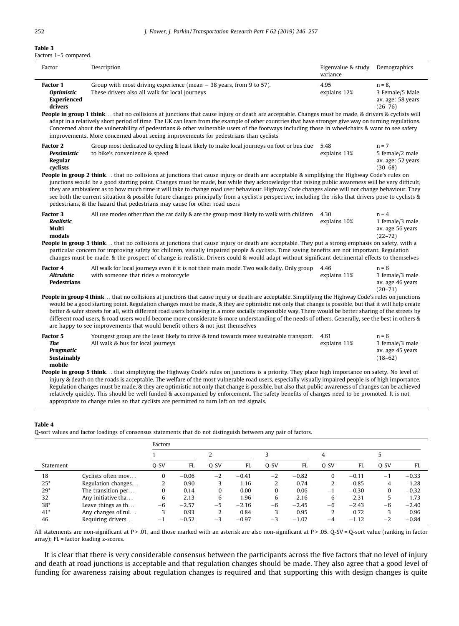# <span id="page-6-0"></span>Table 3

Factors 1–5 compared.

| Factor                                                                                                                                                     | Description                                                           | Eigenvalue & study<br>variance | Demographics      |  |
|------------------------------------------------------------------------------------------------------------------------------------------------------------|-----------------------------------------------------------------------|--------------------------------|-------------------|--|
| <b>Factor 1</b>                                                                                                                                            | Group with most driving experience (mean $-$ 38 years, from 9 to 57). | 4.95                           | $n = 8.$          |  |
| <b>Optimistic</b>                                                                                                                                          | These drivers also all walk for local journeys                        | explains 12%                   | 3 Female/5 Male   |  |
| Experienced                                                                                                                                                |                                                                       |                                | av. age: 58 years |  |
| drivers                                                                                                                                                    |                                                                       |                                | $(26 - 76)$       |  |
| <b>People in group 1 think.</b> that no collisions at junctions that cause injury or death are acceptable. Changes must be made, & drivers & cyclists will |                                                                       |                                |                   |  |
| adapt in a relatively short period of time. The UK can learn from the example of other countries that have stronger give way on turning regulations.       |                                                                       |                                |                   |  |
| Concerned about the vulnerability of pedestrians & other vulnerable users of the footways including those in wheelchairs & want to see safety              |                                                                       |                                |                   |  |

improvements. More concerned about seeing improvements for pedestrians than cyclists Factor 2  $n=7$ Group most dedicated to cycling & least likely to make local journeys on foot or bus due 5.48 **Pessimistic** to bike's convenience & speed explains 13% 5 female/2 male Regular av. age: 52 years cyclists (30–68)

People in group 2 think... that no collisions at junctions that cause injury or death are acceptable & simplifying the Highway Code's rules on junctions would be a good starting point. Changes must be made, but while they acknowledge that raising public awareness will be very difficult, they are ambivalent as to how much time it will take to change road user behaviour. Highway Code changes alone will not change behaviour. They see both the current situation & possible future changes principally from a cyclist's perspective, including the risks that drivers pose to cyclists & pedestrians, & the hazard that pedestrians may cause for other road users

| <b>Factor 3</b>           | All use modes other than the car daily & are the group most likely to walk with children                               | 4.30         | $n = 4$          |
|---------------------------|------------------------------------------------------------------------------------------------------------------------|--------------|------------------|
| Realistic                 |                                                                                                                        | explains 10% | 1 female/3 male  |
| Multi                     |                                                                                                                        |              | av. age 56 years |
| modals                    |                                                                                                                        |              | $(22 - 72)$      |
| Doonla in consum 2 thinly | that no collisions at junctions that sause injury or doath are accontable. They put a strong emphasis on safety with a |              |                  |

**n group 3 think**... that no collisions at junctions that cause injury or death are acceptable. They put a strong emphasis on safety, with a particular concern for improving safety for children, visually impaired people & cyclists. Time saving benefits are not important. Regulation changes must be made, & the prospect of change is realistic. Drivers could & would adapt without significant detrimental effects to themselves

| Factor 4    | All walk for local journeys even if it is not their main mode. Two walk daily, Only group 4.46 |              | $n = 6$          |
|-------------|------------------------------------------------------------------------------------------------|--------------|------------------|
| Altruistic  | with someone that rides a motorcycle                                                           | explains 11% | 3 female/3 male  |
| Pedestrians |                                                                                                |              | av. age 46 vears |
|             |                                                                                                |              | $(20 - 71)$      |

People in group 4 think... that no collisions at junctions that cause injury or death are acceptable. Simplifying the Highway Code's rules on junctions would be a good starting point. Regulation changes must be made, & they are optimistic not only that change is possible, but that it will help create better & safer streets for all, with different road users behaving in a more socially responsible way. There would be better sharing of the streets by different road users, & road users would become more considerate & more understanding of the needs of others. Generally, see the best in others & are happy to see improvements that would benefit others & not just themselves

| Factor 5    | Youngest group are the least likely to drive & tend towards more sustainable transport. | 4.61         | $n = 6$          |
|-------------|-----------------------------------------------------------------------------------------|--------------|------------------|
| The         | All walk & bus for local journeys                                                       | explains 11% | 3 female/3 male  |
| Pragmatic   |                                                                                         |              | av. age 45 years |
| Sustainably |                                                                                         |              | $(18 - 62)$      |
| mobile      |                                                                                         |              |                  |

People in group 5 think... that simplifying the Highway Code's rules on junctions is a priority. They place high importance on safety. No level of injury & death on the roads is acceptable. The welfare of the most vulnerable road users, especially visually impaired people is of high importance. Regulation changes must be made, & they are optimistic not only that change is possible, but also that public awareness of changes can be achieved relatively quickly. This should be well funded & accompanied by enforcement. The safety benefits of changes need to be promoted. It is not appropriate to change rules so that cyclists are permitted to turn left on red signals.

#### Table 4

Q-sort values and factor loadings of consensus statements that do not distinguish between any pair of factors.

|           |                    | Factors |         |          |           |        |         |          |           |      |         |
|-----------|--------------------|---------|---------|----------|-----------|--------|---------|----------|-----------|------|---------|
|           |                    |         |         |          |           |        |         |          |           |      |         |
| Statement |                    | Q-SV    | FL      | Q-SV     | <b>FL</b> | $O-SV$ | FL      | Q-SV     | <b>FL</b> | Q-SV | FL      |
| 18        | Cyclists often mov | 0       | $-0.06$ | $-2$     | $-0.41$   | $-2$   | $-0.82$ | $\Omega$ | $-0.11$   | $-1$ | $-0.33$ |
| $25*$     | Regulation changes | 2       | 0.90    |          | 1.16      | 2      | 0.74    |          | 0.85      | 4    | 1.28    |
| $29*$     | The transition per | 0       | 0.14    | $\Omega$ | 0.00      | 0      | 0.06    | $-1$     | $-0.30$   | 0    | $-0.32$ |
| 32        | Any initiative tha | 6       | 2.13    | 6        | 1.96      | 6      | 2.16    | 6        | 2.31      | 5    | 1.73    |
| $38*$     | Leave things as th | $-6$    | $-2.57$ | $-5$     | $-2.16$   | $-6$   | $-2.45$ | $-6$     | $-2.43$   | $-6$ | $-2.40$ |
| $41*$     | Any changes of rul | 3       | 0.93    |          | 0.84      | 3      | 0.95    |          | 0.72      | 3    | 0.96    |
| 46        | Requiring drivers  | $-1$    | $-0.52$ | $-3$     | $-0.97$   | $-3$   | $-1.07$ | $-4$     | $-1.12$   | $-2$ | $-0.84$ |

All statements are non-significant at P > .01, and those marked with an asterisk are also non-significant at P > .05. Q-SV = Q-sort value (ranking in factor array); FL = factor loading z-scores.

It is clear that there is very considerable consensus between the participants across the five factors that no level of injury and death at road junctions is acceptable and that regulation changes should be made. They also agree that a good level of funding for awareness raising about regulation changes is required and that supporting this with design changes is quite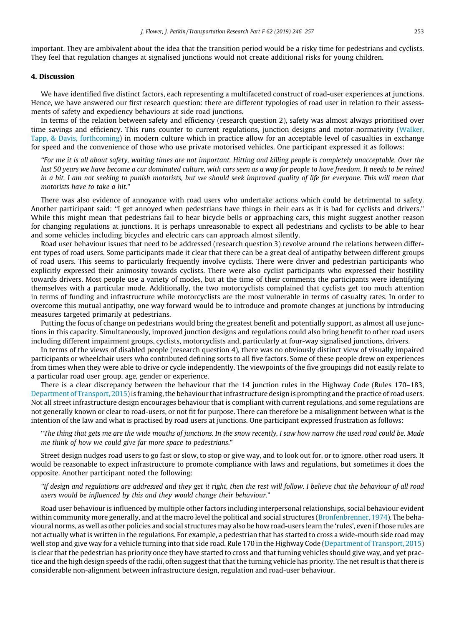<span id="page-7-0"></span>important. They are ambivalent about the idea that the transition period would be a risky time for pedestrians and cyclists. They feel that regulation changes at signalised junctions would not create additional risks for young children.

# 4. Discussion

We have identified five distinct factors, each representing a multifaceted construct of road-user experiences at junctions. Hence, we have answered our first research question: there are different typologies of road user in relation to their assessments of safety and expediency behaviours at side road junctions.

In terms of the relation between safety and efficiency (research question 2), safety was almost always prioritised over time savings and efficiency. This runs counter to current regulations, junction designs and motor-normativity ([Walker,](#page-11-0) [Tapp, & Davis, forthcoming\)](#page-11-0) in modern culture which in practice allow for an acceptable level of casualties in exchange for speed and the convenience of those who use private motorised vehicles. One participant expressed it as follows:

''For me it is all about safety, waiting times are not important. Hitting and killing people is completely unacceptable. Over the last 50 years we have become a car dominated culture, with cars seen as a way for people to have freedom. It needs to be reined in a bit. I am not seeking to punish motorists, but we should seek improved quality of life for everyone. This will mean that motorists have to take a hit."

There was also evidence of annoyance with road users who undertake actions which could be detrimental to safety. Another participant said: ''I get annoyed when pedestrians have things in their ears as it is bad for cyclists and drivers." While this might mean that pedestrians fail to hear bicycle bells or approaching cars, this might suggest another reason for changing regulations at junctions. It is perhaps unreasonable to expect all pedestrians and cyclists to be able to hear and some vehicles including bicycles and electric cars can approach almost silently.

Road user behaviour issues that need to be addressed (research question 3) revolve around the relations between different types of road users. Some participants made it clear that there can be a great deal of antipathy between different groups of road users. This seems to particularly frequently involve cyclists. There were driver and pedestrian participants who explicitly expressed their animosity towards cyclists. There were also cyclist participants who expressed their hostility towards drivers. Most people use a variety of modes, but at the time of their comments the participants were identifying themselves with a particular mode. Additionally, the two motorcyclists complained that cyclists get too much attention in terms of funding and infrastructure while motorcyclists are the most vulnerable in terms of casualty rates. In order to overcome this mutual antipathy, one way forward would be to introduce and promote changes at junctions by introducing measures targeted primarily at pedestrians.

Putting the focus of change on pedestrians would bring the greatest benefit and potentially support, as almost all use junctions in this capacity. Simultaneously, improved junction designs and regulations could also bring benefit to other road users including different impairment groups, cyclists, motorcyclists and, particularly at four-way signalised junctions, drivers.

In terms of the views of disabled people (research question 4), there was no obviously distinct view of visually impaired participants or wheelchair users who contributed defining sorts to all five factors. Some of these people drew on experiences from times when they were able to drive or cycle independently. The viewpoints of the five groupings did not easily relate to a particular road user group, age, gender or experience.

There is a clear discrepancy between the behaviour that the 14 junction rules in the Highway Code (Rules 170–183, [Department of Transport, 2015](#page-11-0)) is framing, the behaviour that infrastructure design is prompting and the practice of road users. Not all street infrastructure design encourages behaviour that is compliant with current regulations, and some regulations are not generally known or clear to road-users, or not fit for purpose. There can therefore be a misalignment between what is the intention of the law and what is practised by road users at junctions. One participant expressed frustration as follows:

''The thing that gets me are the wide mouths of junctions. In the snow recently, I saw how narrow the used road could be. Made me think of how we could give far more space to pedestrians."

Street design nudges road users to go fast or slow, to stop or give way, and to look out for, or to ignore, other road users. It would be reasonable to expect infrastructure to promote compliance with laws and regulations, but sometimes it does the opposite. Another participant noted the following:

''If design and regulations are addressed and they get it right, then the rest will follow. I believe that the behaviour of all road users would be influenced by this and they would change their behaviour."

Road user behaviour is influenced by multiple other factors including interpersonal relationships, social behaviour evident within community more generally, and at the macro level the political and social structures ([Bronfenbrenner, 1974\)](#page-11-0). The behavioural norms, as well as other policies and social structures may also be how road-users learn the 'rules', even if those rules are not actually what is written in the regulations. For example, a pedestrian that has started to cross a wide-mouth side road may well stop and give way for a vehicle turning into that side road. Rule 170 in the Highway Code [\(Department of Transport, 2015](#page-11-0)) is clear that the pedestrian has priority once they have started to cross and that turning vehicles should give way, and yet practice and the high design speeds of the radii, often suggest that that the turning vehicle has priority. The net result is that there is considerable non-alignment between infrastructure design, regulation and road-user behaviour.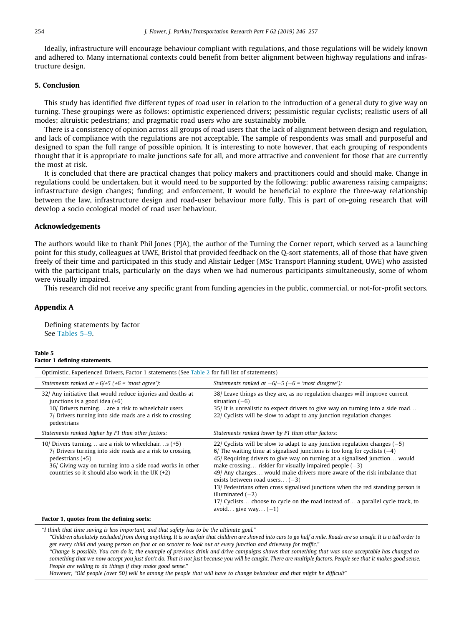<span id="page-8-0"></span>Ideally, infrastructure will encourage behaviour compliant with regulations, and those regulations will be widely known and adhered to. Many international contexts could benefit from better alignment between highway regulations and infrastructure design.

# 5. Conclusion

This study has identified five different types of road user in relation to the introduction of a general duty to give way on turning. These groupings were as follows: optimistic experienced drivers; pessimistic regular cyclists; realistic users of all modes; altruistic pedestrians; and pragmatic road users who are sustainably mobile.

There is a consistency of opinion across all groups of road users that the lack of alignment between design and regulation, and lack of compliance with the regulations are not acceptable. The sample of respondents was small and purposeful and designed to span the full range of possible opinion. It is interesting to note however, that each grouping of respondents thought that it is appropriate to make junctions safe for all, and more attractive and convenient for those that are currently the most at risk.

It is concluded that there are practical changes that policy makers and practitioners could and should make. Change in regulations could be undertaken, but it would need to be supported by the following: public awareness raising campaigns; infrastructure design changes; funding; and enforcement. It would be beneficial to explore the three-way relationship between the law, infrastructure design and road-user behaviour more fully. This is part of on-going research that will develop a socio ecological model of road user behaviour.

# Acknowledgements

The authors would like to thank Phil Jones (PJA), the author of the Turning the Corner report, which served as a launching point for this study, colleagues at UWE, Bristol that provided feedback on the Q-sort statements, all of those that have given freely of their time and participated in this study and Alistair Ledger (MSc Transport Planning student, UWE) who assisted with the participant trials, particularly on the days when we had numerous participants simultaneously, some of whom were visually impaired.

This research did not receive any specific grant from funding agencies in the public, commercial, or not-for-profit sectors.

# Appendix A

Defining statements by factor See Tables 5–9.

#### Table 5

#### Factor 1 defining statements.

| Optimistic, Experienced Drivers, Factor 1 statements (See Table 2 for full list of statements)                                                                                                                                                          |                                                                                                                                                                                                                                                                                                                                                                                                                                                                                                                                                                                                                                              |  |  |  |
|---------------------------------------------------------------------------------------------------------------------------------------------------------------------------------------------------------------------------------------------------------|----------------------------------------------------------------------------------------------------------------------------------------------------------------------------------------------------------------------------------------------------------------------------------------------------------------------------------------------------------------------------------------------------------------------------------------------------------------------------------------------------------------------------------------------------------------------------------------------------------------------------------------------|--|--|--|
| Statements ranked at $+6/+5$ ( $+6$ = 'most agree'):                                                                                                                                                                                                    | Statements ranked at $-6/-5$ ( $-6$ = 'most disagree'):                                                                                                                                                                                                                                                                                                                                                                                                                                                                                                                                                                                      |  |  |  |
| 32/ Any initiative that would reduce injuries and deaths at<br>junctions is a good idea $(+6)$<br>10/ Drivers turning are a risk to wheelchair users<br>7/ Drivers turning into side roads are a risk to crossing<br>pedestrians                        | 38/ Leave things as they are, as no regulation changes will improve current<br>situation $(-6)$<br>35/ It is unrealistic to expect drivers to give way on turning into a side road<br>22/ Cyclists will be slow to adapt to any junction regulation changes                                                                                                                                                                                                                                                                                                                                                                                  |  |  |  |
| Statements ranked higher by F1 than other factors:                                                                                                                                                                                                      | Statements ranked lower by F1 than other factors:                                                                                                                                                                                                                                                                                                                                                                                                                                                                                                                                                                                            |  |  |  |
| 10/ Drivers turning are a risk to wheelchairs $(+5)$<br>7/ Drivers turning into side roads are a risk to crossing<br>pedestrians (+5)<br>36/ Giving way on turning into a side road works in other<br>countries so it should also work in the UK $(+2)$ | 22/ Cyclists will be slow to adapt to any junction regulation changes $(-5)$<br>6/ The waiting time at signalised junctions is too long for cyclists $(-4)$<br>45/ Requiring drivers to give way on turning at a signalised junction would<br>make crossing riskier for visually impaired people $(-3)$<br>49/ Any changes would make drivers more aware of the risk imbalance that<br>exists between road users $(-3)$<br>13/ Pedestrians often cross signalised junctions when the red standing person is<br>illuminated $(-2)$<br>17/ Cyclists choose to cycle on the road instead of a parallel cycle track, to<br>avoid give way $(-1)$ |  |  |  |
| Factor 1, quotes from the defining sorts:                                                                                                                                                                                                               |                                                                                                                                                                                                                                                                                                                                                                                                                                                                                                                                                                                                                                              |  |  |  |

''I think that time saving is less important, and that safety has to be the ultimate goal."

''Children absolutely excluded from doing anything. It is so unfair that children are shoved into cars to go half a mile. Roads are so unsafe. It is a tall order to get every child and young person on foot or on scooter to look out at every junction and driveway for traffic."

However, ''Old people (over 50) will be among the people that will have to change behaviour and that might be difficult"

<sup>&#</sup>x27;'Change is possible. You can do it; the example of previous drink and drive campaigns shows that something that was once acceptable has changed to something that we now accept you just don't do. That is not just because you will be caught. There are multiple factors. People see that it makes good sense. People are willing to do things if they make good sense."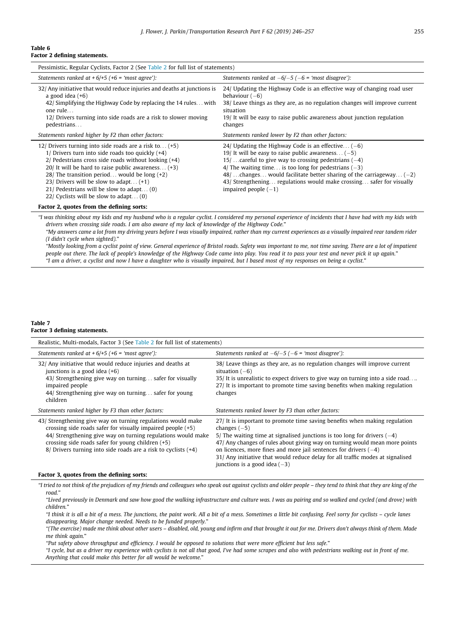#### Table 6 Factor 2 defining statements.

l.

| Pessimistic, Regular Cyclists, Factor 2 (See Table 2 for full list of statements)                                                                                                                                                                                                                                                                                                                                           |                                                                                                                                                                                                                                                                                                                                                                                                           |  |  |  |  |
|-----------------------------------------------------------------------------------------------------------------------------------------------------------------------------------------------------------------------------------------------------------------------------------------------------------------------------------------------------------------------------------------------------------------------------|-----------------------------------------------------------------------------------------------------------------------------------------------------------------------------------------------------------------------------------------------------------------------------------------------------------------------------------------------------------------------------------------------------------|--|--|--|--|
| Statements ranked at $+6/+5$ ( $+6$ = 'most agree'):                                                                                                                                                                                                                                                                                                                                                                        | Statements ranked at $-6/-5$ ( $-6$ = 'most disagree'):                                                                                                                                                                                                                                                                                                                                                   |  |  |  |  |
| 32/ Any initiative that would reduce injuries and deaths at junctions is<br>a good idea $(+6)$<br>42/ Simplifying the Highway Code by replacing the 14 rules with<br>one rule<br>12/ Drivers turning into side roads are a risk to slower moving<br>pedestrians                                                                                                                                                             | 24/ Updating the Highway Code is an effective way of changing road user<br>behaviour $(-6)$<br>38/ Leave things as they are, as no regulation changes will improve current<br>situation<br>19/ It will be easy to raise public awareness about junction regulation<br>changes                                                                                                                             |  |  |  |  |
| Statements ranked higher by F2 than other factors:                                                                                                                                                                                                                                                                                                                                                                          | Statements ranked lower by F2 than other factors:                                                                                                                                                                                                                                                                                                                                                         |  |  |  |  |
| 12/ Drivers turning into side roads are a risk to $(+5)$<br>1/ Drivers turn into side roads too quickly $(+4)$<br>$2/$ Pedestrians cross side roads without looking $(+4)$<br>20/ It will be hard to raise public awareness $(+3)$<br>28/ The transition period would be long $(+2)$<br>23/ Drivers will be slow to adapt $(+1)$<br>$21/$ Pedestrians will be slow to adapt (0)<br>22/ Cyclists will be slow to adapt $(0)$ | 24/ Updating the Highway Code is an effective $(-6)$<br>19/ It will be easy to raise public awareness $(-5)$<br>15/careful to give way to crossing pedestrians $(-4)$<br>4/ The waiting time is too long for pedestrians $(-3)$<br>48/changes would facilitate better sharing of the carriageway $(-2)$<br>43/ Strengthening regulations would make crossing safer for visually<br>impaired people $(-1)$ |  |  |  |  |
| Factor 2, quotes from the defining sorts:                                                                                                                                                                                                                                                                                                                                                                                   |                                                                                                                                                                                                                                                                                                                                                                                                           |  |  |  |  |
|                                                                                                                                                                                                                                                                                                                                                                                                                             | "I was thinking about my lide and my bushand who is a regular qualist I considered my norsonal quagines of insidents that I have had with my lide with                                                                                                                                                                                                                                                    |  |  |  |  |

''I was thinking about my kids and my husband who is a regular cyclist. I considered my personal experience of incidents that I have had with my kids with drivers when crossing side roads. I am also aware of my lack of knowledge of the Highway Code."

''My answers came a lot from my driving years before I was visually impaired, rather than my current experiences as a visually impaired rear tandem rider (I didn't cycle when sighted)."

''Mostly looking from a cyclist point of view. General experience of Bristol roads. Safety was important to me, not time saving. There are a lot of impatient people out there. The lack of people's knowledge of the Highway Code came into play. You read it to pass your test and never pick it up again." ''I am a driver, a cyclist and now I have a daughter who is visually impaired, but I based most of my responses on being a cyclist."

# Table 7 Factor 3 defining statements.

| Realistic, Multi-modals, Factor 3 (See Table 2 for full list of statements)                                                                                                                                                                                                                                                |                                                                                                                                                                                                                                                                                                                                                                                                                                                      |  |  |  |
|----------------------------------------------------------------------------------------------------------------------------------------------------------------------------------------------------------------------------------------------------------------------------------------------------------------------------|------------------------------------------------------------------------------------------------------------------------------------------------------------------------------------------------------------------------------------------------------------------------------------------------------------------------------------------------------------------------------------------------------------------------------------------------------|--|--|--|
| Statements ranked at $+6/+5$ ( $+6$ = 'most agree'):                                                                                                                                                                                                                                                                       | Statements ranked at $-6/-5$ ( $-6$ = 'most disagree'):                                                                                                                                                                                                                                                                                                                                                                                              |  |  |  |
| 32/ Any initiative that would reduce injuries and deaths at<br>junctions is a good idea $(+6)$<br>43/ Strengthening give way on turning safer for visually<br>impaired people<br>44/ Strengthening give way on turning safer for young<br>children                                                                         | 38/ Leave things as they are, as no regulation changes will improve current<br>situation $(-6)$<br>35/ It is unrealistic to expect drivers to give way on turning into a side road<br>27/ It is important to promote time saving benefits when making regulation<br>changes                                                                                                                                                                          |  |  |  |
| Statements ranked higher by F3 than other factors:                                                                                                                                                                                                                                                                         | Statements ranked lower by F3 than other factors:                                                                                                                                                                                                                                                                                                                                                                                                    |  |  |  |
| 43/ Strengthening give way on turning regulations would make<br>crossing side roads safer for visually impaired people $(+5)$<br>44/ Strengthening give way on turning regulations would make<br>crossing side roads safer for young children $(+5)$<br>$8/$ Drivers turning into side roads are a risk to cyclists $(+4)$ | 27/ It is important to promote time saving benefits when making regulation<br>changes $(-5)$<br>5/ The waiting time at signalised junctions is too long for drivers $(-4)$<br>47/ Any changes of rules about giving way on turning would mean more points<br>on licences, more fines and more jail sentences for drivers $(-4)$<br>31/ Any initiative that would reduce delay for all traffic modes at signalised<br>junctions is a good idea $(-3)$ |  |  |  |

#### Factor 3, quotes from the defining sorts:

''I tried to not think of the prejudices of my friends and colleagues who speak out against cyclists and older people – they tend to think that they are king of the road."

''Lived previously in Denmark and saw how good the walking infrastructure and culture was. I was au pairing and so walked and cycled (and drove) with children."

''I think it is all a bit of a mess. The junctions, the paint work. All a bit of a mess. Sometimes a little bit confusing. Feel sorry for cyclists – cycle lanes disappearing. Major change needed. Needs to be funded properly."

''(The exercise) made me think about other users – disabled, old, young and infirm and that brought it out for me. Drivers don't always think of them. Made me think again."

''Put safety above throughput and efficiency. I would be opposed to solutions that were more efficient but less safe."

''I cycle, but as a driver my experience with cyclists is not all that good, I've had some scrapes and also with pedestrians walking out in front of me. Anything that could make this better for all would be welcome."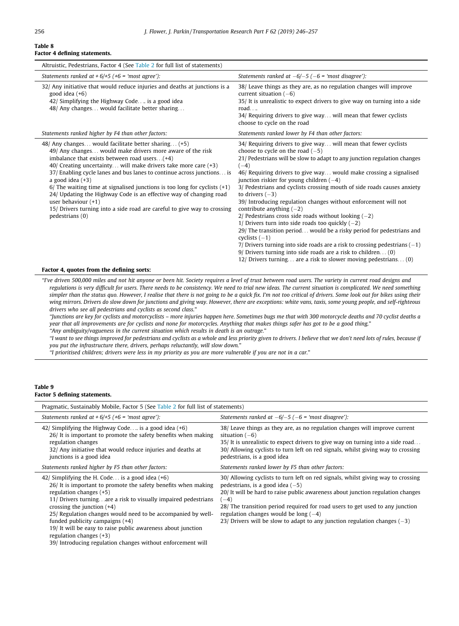#### Table 8 Factor 4 defining statements.

| Altruistic, Pedestrians, Factor 4 (See Table 2 for full list of statements)                                                                                                                                                                                                                                                                                                                                                                                                                                                                                                                                          |                                                                                                                                                                                                                                                                                                                                                                                                                                                                                                                                                                                                                                                                                                                                                                                                                                                                                                                                                        |
|----------------------------------------------------------------------------------------------------------------------------------------------------------------------------------------------------------------------------------------------------------------------------------------------------------------------------------------------------------------------------------------------------------------------------------------------------------------------------------------------------------------------------------------------------------------------------------------------------------------------|--------------------------------------------------------------------------------------------------------------------------------------------------------------------------------------------------------------------------------------------------------------------------------------------------------------------------------------------------------------------------------------------------------------------------------------------------------------------------------------------------------------------------------------------------------------------------------------------------------------------------------------------------------------------------------------------------------------------------------------------------------------------------------------------------------------------------------------------------------------------------------------------------------------------------------------------------------|
| Statements ranked at $+6/+5$ ( $+6$ = 'most agree'):                                                                                                                                                                                                                                                                                                                                                                                                                                                                                                                                                                 | Statements ranked at $-6/-5$ ( $-6$ = 'most disagree'):                                                                                                                                                                                                                                                                                                                                                                                                                                                                                                                                                                                                                                                                                                                                                                                                                                                                                                |
| 32/ Any initiative that would reduce injuries and deaths at junctions is a<br>good idea $(+6)$<br>42/ Simplifying the Highway Code is a good idea<br>48/ Any changes would facilitate better sharing                                                                                                                                                                                                                                                                                                                                                                                                                 | 38/ Leave things as they are, as no regulation changes will improve<br>current situation $(-6)$<br>35/ It is unrealistic to expect drivers to give way on turning into a side<br>road<br>34/ Requiring drivers to give way will mean that fewer cyclists<br>choose to cycle on the road                                                                                                                                                                                                                                                                                                                                                                                                                                                                                                                                                                                                                                                                |
| Statements ranked higher by F4 than other factors:                                                                                                                                                                                                                                                                                                                                                                                                                                                                                                                                                                   | Statements ranked lower by F4 than other factors:                                                                                                                                                                                                                                                                                                                                                                                                                                                                                                                                                                                                                                                                                                                                                                                                                                                                                                      |
| 48/ Any changes would facilitate better sharing (+5)<br>49/ Any changes would make drivers more aware of the risk<br>imbalance that exists between road users(+4)<br>40/ Creating uncertainty will make drivers take more care $(+3)$<br>37/ Enabling cycle lanes and bus lanes to continue across junctions is<br>a good idea $(+3)$<br>$6/$ The waiting time at signalised junctions is too long for cyclists $(+1)$<br>24/ Updating the Highway Code is an effective way of changing road<br>user behaviour $(+1)$<br>15/ Drivers turning into a side road are careful to give way to crossing<br>pedestrians (0) | 34/ Requiring drivers to give way will mean that fewer cyclists<br>choose to cycle on the road $(-5)$<br>21/ Pedestrians will be slow to adapt to any junction regulation changes<br>$(-4)$<br>46/ Requiring drivers to give way would make crossing a signalised<br>junction riskier for young children $(-4)$<br>3/ Pedestrians and cyclists crossing mouth of side roads causes anxiety<br>to drivers $(-3)$<br>39/ Introducing regulation changes without enforcement will not<br>contribute anything $(-2)$<br>2/ Pedestrians cross side roads without looking $(-2)$<br>1/ Drivers turn into side roads too quickly $(-2)$<br>29/ The transition period would be a risky period for pedestrians and<br>cyclists $(-1)$<br>7/ Drivers turning into side roads are a risk to crossing pedestrians $(-1)$<br>$9/$ Drivers turning into side roads are a risk to children $(0)$<br>$12/$ Drivers turning are a risk to slower moving pedestrians (0) |

#### Factor 4, quotes from the defining sorts:

''I've driven 500,000 miles and not hit anyone or been hit. Society requires a level of trust between road users. The variety in current road designs and regulations is very difficult for users. There needs to be consistency. We need to trial new ideas. The current situation is complicated. We need something simpler than the status quo. However, I realise that there is not going to be a quick fix. I'm not too critical of drivers. Some look out for bikes using their wing mirrors. Drivers do slow down for junctions and giving way. However, there are exceptions: white vans, taxis, some young people, and self-righteous drivers who see all pedestrians and cyclists as second class."

''Junctions are key for cyclists and motorcyclists – more injuries happen here. Sometimes bugs me that with 300 motorcycle deaths and 70 cyclist deaths a year that all improvements are for cyclists and none for motorcycles. Anything that makes things safer has got to be a good thing." ''Any ambiguity/vagueness in the current situation which results in death is an outrage."

''I want to see things improved for pedestrians and cyclists as a whole and less priority given to drivers. I believe that we don't need lots of rules, because if you put the infrastructure there, drivers, perhaps reluctantly, will slow down."

''I prioritised children; drivers were less in my priority as you are more vulnerable if you are not in a car."

# Table 9

#### Factor 5 defining statements.

| Pragmatic, Sustainably Mobile, Factor 5 (See Table 2 for full list of statements)                                                                                                                                                                                                                                                                                                                                                                                                                               |                                                                                                                                                                                                                                                                                                                                                                                                                                |
|-----------------------------------------------------------------------------------------------------------------------------------------------------------------------------------------------------------------------------------------------------------------------------------------------------------------------------------------------------------------------------------------------------------------------------------------------------------------------------------------------------------------|--------------------------------------------------------------------------------------------------------------------------------------------------------------------------------------------------------------------------------------------------------------------------------------------------------------------------------------------------------------------------------------------------------------------------------|
| Statements ranked at $+6/+5$ ( $+6$ = 'most agree'):                                                                                                                                                                                                                                                                                                                                                                                                                                                            | Statements ranked at $-6/-5$ ( $-6$ = 'most disagree'):                                                                                                                                                                                                                                                                                                                                                                        |
| 42/ Simplifying the Highway Code is a good idea $(+6)$<br>26/ It is important to promote the safety benefits when making<br>regulation changes<br>32/ Any initiative that would reduce injuries and deaths at<br>junctions is a good idea                                                                                                                                                                                                                                                                       | 38/ Leave things as they are, as no regulation changes will improve current<br>situation $(-6)$<br>35/ It is unrealistic to expect drivers to give way on turning into a side road<br>30/ Allowing cyclists to turn left on red signals, whilst giving way to crossing<br>pedestrians, is a good idea                                                                                                                          |
| Statements ranked higher by F5 than other factors:                                                                                                                                                                                                                                                                                                                                                                                                                                                              | Statements ranked lower by F5 than other factors:                                                                                                                                                                                                                                                                                                                                                                              |
| 42/ Simplifying the H. Code is a good idea $(+6)$<br>26/ It is important to promote the safety benefits when making<br>regulation changes (+5)<br>11/ Drivers turningare a risk to visually impaired pedestrians<br>crossing the junction $(+4)$<br>25/ Regulation changes would need to be accompanied by well-<br>funded publicity campaigns $(+4)$<br>19/ It will be easy to raise public awareness about junction<br>regulation changes (+3)<br>39/ Introducing regulation changes without enforcement will | 30/ Allowing cyclists to turn left on red signals, whilst giving way to crossing<br>pedestrians, is a good idea $(-5)$<br>20/ It will be hard to raise public awareness about junction regulation changes<br>$(-4)$<br>28/ The transition period required for road users to get used to any junction<br>regulation changes would be long $(-4)$<br>23/ Drivers will be slow to adapt to any junction regulation changes $(-3)$ |